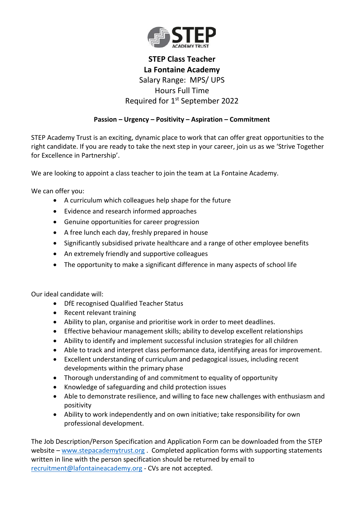

## **STEP Class Teacher La Fontaine Academy** Salary Range: MPS/ UPS Hours Full Time Required for 1<sup>st</sup> September 2022

## **Passion – Urgency – Positivity – Aspiration – Commitment**

STEP Academy Trust is an exciting, dynamic place to work that can offer great opportunities to the right candidate. If you are ready to take the next step in your career, join us as we 'Strive Together for Excellence in Partnership'.

We are looking to appoint a class teacher to join the team at La Fontaine Academy.

We can offer you:

- A curriculum which colleagues help shape for the future
- Evidence and research informed approaches
- Genuine opportunities for career progression
- A free lunch each day, freshly prepared in house
- Significantly subsidised private healthcare and a range of other employee benefits
- An extremely friendly and supportive colleagues
- The opportunity to make a significant difference in many aspects of school life

Our ideal candidate will:

- DfE recognised Qualified Teacher Status
- Recent relevant training
- Ability to plan, organise and prioritise work in order to meet deadlines.
- Effective behaviour management skills; ability to develop excellent relationships
- Ability to identify and implement successful inclusion strategies for all children
- Able to track and interpret class performance data, identifying areas for improvement.
- Excellent understanding of curriculum and pedagogical issues, including recent developments within the primary phase
- Thorough understanding of and commitment to equality of opportunity
- Knowledge of safeguarding and child protection issues
- Able to demonstrate resilience, and willing to face new challenges with enthusiasm and positivity
- Ability to work independently and on own initiative; take responsibility for own professional development.

The Job Description/Person Specification and Application Form can be downloaded from the STEP website – [www.stepacademytrust.org](http://www.stepacademytrust.org/) . Completed application forms with supporting statements written in line with the person specification should be returned by email to [recruitment@lafontaineacademy.org](mailto:recruitment@lafontaineacademy.org) - CVs are not accepted.